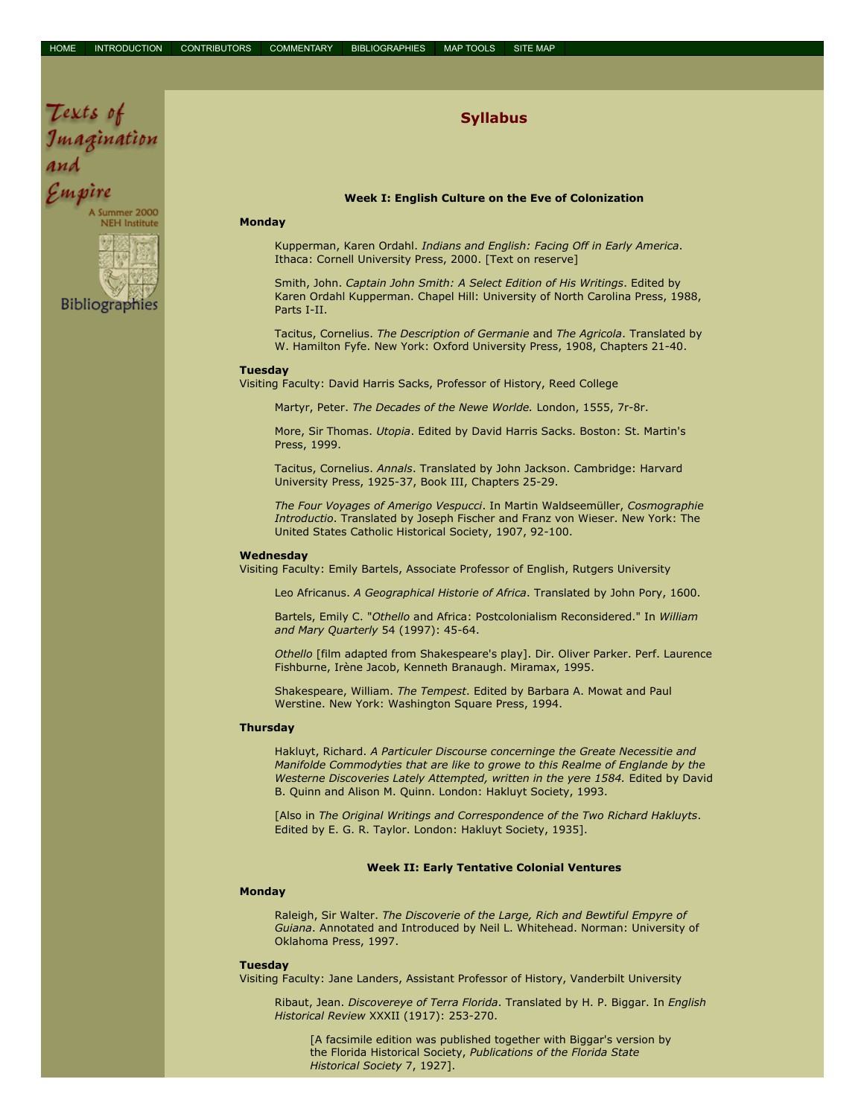# Syllabus

### Week I: English Culture on the Eve of Colonization

## Monday

Texts of

Çmpire

Imagination

Summer 2000 **NEH** Institute

**Bibliographies** 

Kupperman, Karen Ordahl. Indians and English: Facing Off in Early America. Ithaca: Cornell University Press, 2000. [Text on reserve]

Smith, John. Captain John Smith: A Select Edition of His Writings. Edited by Karen Ordahl Kupperman. Chapel Hill: University of North Carolina Press, 1988, Parts I-II.

Tacitus, Cornelius. The Description of Germanie and The Agricola. Translated by W. Hamilton Fyfe. New York: Oxford University Press, 1908, Chapters 21-40.

#### Tuesday

Visiting Faculty: David Harris Sacks, Professor of History, Reed College

Martyr, Peter. The Decades of the Newe Worlde. London, 1555, 7r-8r.

More, Sir Thomas. Utopia. Edited by David Harris Sacks. Boston: St. Martin's Press, 1999.

Tacitus, Cornelius. Annals. Translated by John Jackson. Cambridge: Harvard University Press, 1925-37, Book III, Chapters 25-29.

The Four Voyages of Amerigo Vespucci. In Martin Waldseemüller, Cosmographie Introductio. Translated by Joseph Fischer and Franz von Wieser. New York: The United States Catholic Historical Society, 1907, 92-100.

### Wednesday

Visiting Faculty: Emily Bartels, Associate Professor of English, Rutgers University

Leo Africanus. A Geographical Historie of Africa. Translated by John Pory, 1600.

Bartels, Emily C. "Othello and Africa: Postcolonialism Reconsidered." In William and Mary Quarterly 54 (1997): 45-64.

Othello [film adapted from Shakespeare's play]. Dir. Oliver Parker. Perf. Laurence Fishburne, Irène Jacob, Kenneth Branaugh. Miramax, 1995.

Shakespeare, William. The Tempest. Edited by Barbara A. Mowat and Paul Werstine. New York: Washington Square Press, 1994.

### **Thursdav**

Hakluyt, Richard. A Particuler Discourse concerninge the Greate Necessitie and Manifolde Commodyties that are like to growe to this Realme of Englande by the Westerne Discoveries Lately Attempted, written in the yere 1584. Edited by David B. Quinn and Alison M. Quinn. London: Hakluyt Society, 1993.

[Also in The Original Writings and Correspondence of the Two Richard Hakluyts. Edited by E. G. R. Taylor. London: Hakluyt Society, 1935].

## Week II: Early Tentative Colonial Ventures

## Monday

Raleigh, Sir Walter. The Discoverie of the Large, Rich and Bewtiful Empyre of Guiana. Annotated and Introduced by Neil L. Whitehead. Norman: University of Oklahoma Press, 1997.

### Tuesday

Visiting Faculty: Jane Landers, Assistant Professor of History, Vanderbilt University

Ribaut, Jean. Discovereye of Terra Florida. Translated by H. P. Biggar. In English Historical Review XXXII (1917): 253-270.

[A facsimile edition was published together with Biggar's version by the Florida Historical Society, Publications of the Florida State Historical Society 7, 1927].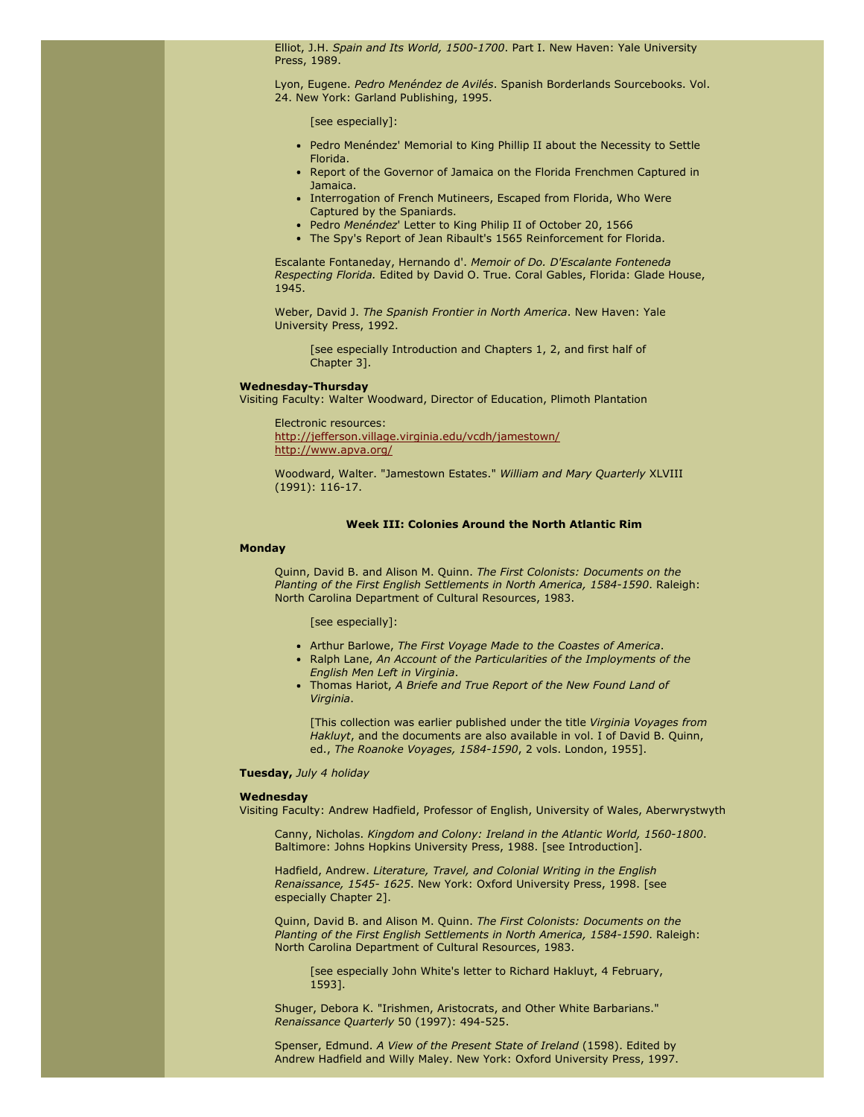Elliot, J.H. Spain and Its World, 1500-1700. Part I. New Haven: Yale University Press, 1989.

Lyon, Eugene. Pedro Menéndez de Avilés. Spanish Borderlands Sourcebooks. Vol. 24. New York: Garland Publishing, 1995.

[see especially]:

- Pedro Menéndez' Memorial to King Phillip II about the Necessity to Settle Florida.
- Report of the Governor of Jamaica on the Florida Frenchmen Captured in Jamaica.
- Interrogation of French Mutineers, Escaped from Florida, Who Were Captured by the Spaniards.
- Pedro Menéndez' Letter to King Philip II of October 20, 1566
- The Spy's Report of Jean Ribault's 1565 Reinforcement for Florida.

Escalante Fontaneday, Hernando d'. Memoir of Do. D'Escalante Fonteneda Respecting Florida. Edited by David O. True. Coral Gables, Florida: Glade House, 1945.

Weber, David J. The Spanish Frontier in North America. New Haven: Yale University Press, 1992.

[see especially Introduction and Chapters 1, 2, and first half of Chapter 3].

### Wednesday-Thursday

Visiting Faculty: Walter Woodward, Director of Education, Plimoth Plantation

### Electronic resources:

[http://jefferson.village.virginia.edu/vcdh/jamestown/](javascript:;) [http://www.apva.org/](javascript:;)

Woodward, Walter. "Jamestown Estates." William and Mary Quarterly XLVIII (1991): 116-17.

## Week III: Colonies Around the North Atlantic Rim

### **Monday**

Quinn, David B. and Alison M. Quinn. The First Colonists: Documents on the Planting of the First English Settlements in North America, 1584-1590. Raleigh: North Carolina Department of Cultural Resources, 1983.

## [see especially]:

- Arthur Barlowe, The First Voyage Made to the Coastes of America.
- Ralph Lane, An Account of the Particularities of the Imployments of the English Men Left in Virginia.
- Thomas Hariot, A Briefe and True Report of the New Found Land of Virginia.

[This collection was earlier published under the title Virginia Voyages from Hakluyt, and the documents are also available in vol. I of David B. Quinn, ed., The Roanoke Voyages, 1584-1590, 2 vols. London, 1955].

### Tuesday, July 4 holiday

## Wednesday

Visiting Faculty: Andrew Hadfield, Professor of English, University of Wales, Aberwrystwyth

Canny, Nicholas. Kingdom and Colony: Ireland in the Atlantic World, 1560-1800. Baltimore: Johns Hopkins University Press, 1988. [see Introduction].

Hadfield, Andrew. Literature, Travel, and Colonial Writing in the English Renaissance, 1545- 1625. New York: Oxford University Press, 1998. [see especially Chapter 2].

Quinn, David B. and Alison M. Quinn. The First Colonists: Documents on the Planting of the First English Settlements in North America, 1584-1590. Raleigh: North Carolina Department of Cultural Resources, 1983.

[see especially John White's letter to Richard Hakluyt, 4 February, 1593].

Shuger, Debora K. "Irishmen, Aristocrats, and Other White Barbarians." Renaissance Quarterly 50 (1997): 494-525.

Spenser, Edmund. A View of the Present State of Ireland (1598). Edited by Andrew Hadfield and Willy Maley. New York: Oxford University Press, 1997.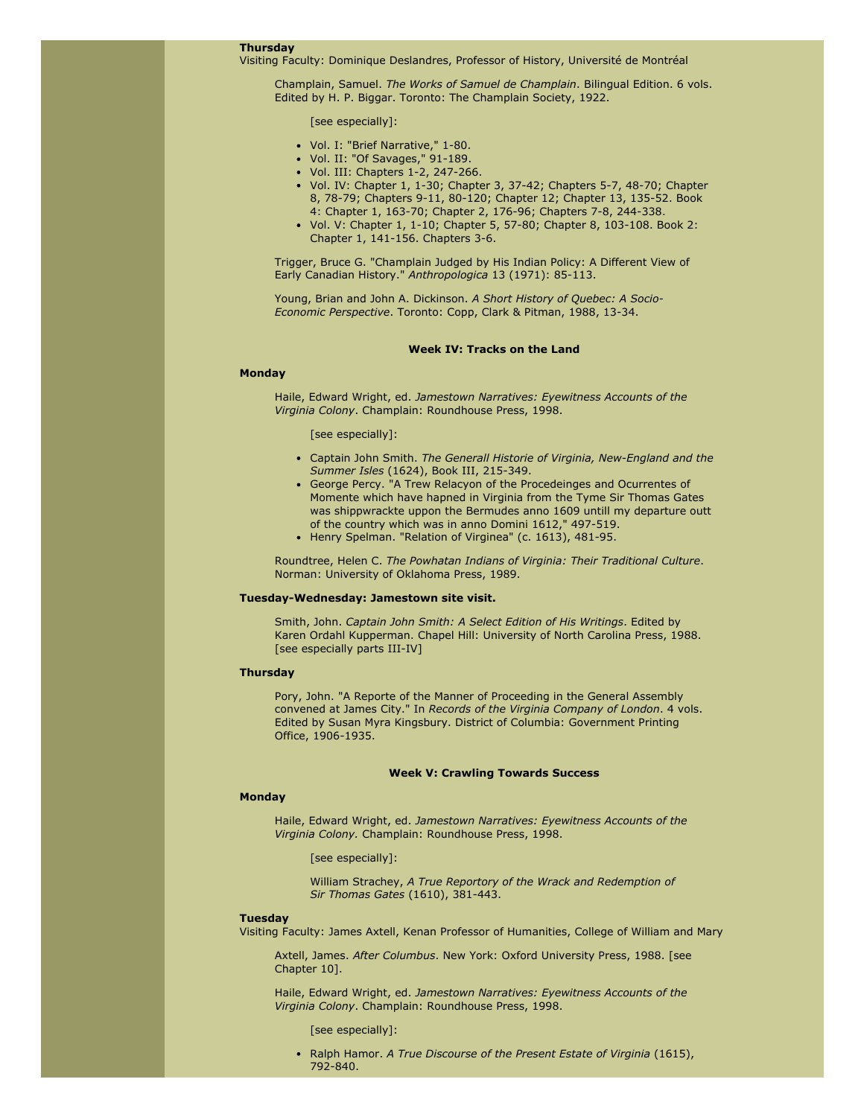## Thursday

Visiting Faculty: Dominique Deslandres, Professor of History, Université de Montréal

Champlain, Samuel. The Works of Samuel de Champlain. Bilingual Edition. 6 vols. Edited by H. P. Biggar. Toronto: The Champlain Society, 1922.

[see especially]:

- Vol. I: "Brief Narrative," 1-80.
- Vol. II: "Of Savages," 91-189.
- Vol. III: Chapters 1-2, 247-266.
- Vol. IV: Chapter 1, 1-30; Chapter 3, 37-42; Chapters 5-7, 48-70; Chapter 8, 78-79; Chapters 9-11, 80-120; Chapter 12; Chapter 13, 135-52. Book 4: Chapter 1, 163-70; Chapter 2, 176-96; Chapters 7-8, 244-338.
- Vol. V: Chapter 1, 1-10; Chapter 5, 57-80; Chapter 8, 103-108. Book 2: Chapter 1, 141-156. Chapters 3-6.

Trigger, Bruce G. "Champlain Judged by His Indian Policy: A Different View of Early Canadian History." Anthropologica 13 (1971): 85-113.

Young, Brian and John A. Dickinson. A Short History of Quebec: A Socio-Economic Perspective. Toronto: Copp, Clark & Pitman, 1988, 13-34.

### Week IV: Tracks on the Land

## Monday

Haile, Edward Wright, ed. Jamestown Narratives: Eyewitness Accounts of the Virginia Colony. Champlain: Roundhouse Press, 1998.

### [see especially]:

- Captain John Smith. The Generall Historie of Virginia, New-England and the Summer Isles (1624), Book III, 215-349.
- George Percy. "A Trew Relacyon of the Procedeinges and Ocurrentes of Momente which have hapned in Virginia from the Tyme Sir Thomas Gates was shippwrackte uppon the Bermudes anno 1609 untill my departure outt of the country which was in anno Domini 1612," 497-519.
- Henry Spelman. "Relation of Virginea" (c. 1613), 481-95.

Roundtree, Helen C. The Powhatan Indians of Virginia: Their Traditional Culture. Norman: University of Oklahoma Press, 1989.

### Tuesday-Wednesday: Jamestown site visit.

Smith, John. Captain John Smith: A Select Edition of His Writings. Edited by Karen Ordahl Kupperman. Chapel Hill: University of North Carolina Press, 1988. [see especially parts III-IV]

## **Thursday**

Pory, John. "A Reporte of the Manner of Proceeding in the General Assembly convened at James City." In Records of the Virginia Company of London. 4 vols. Edited by Susan Myra Kingsbury. District of Columbia: Government Printing Office, 1906-1935.

### Week V: Crawling Towards Success

## Monday

Haile, Edward Wright, ed. Jamestown Narratives: Eyewitness Accounts of the Virginia Colony. Champlain: Roundhouse Press, 1998.

### [see especially]:

William Strachey, A True Reportory of the Wrack and Redemption of Sir Thomas Gates (1610), 381-443.

### Tuesday

Visiting Faculty: James Axtell, Kenan Professor of Humanities, College of William and Mary

Axtell, James. After Columbus. New York: Oxford University Press, 1988. [see Chapter 10].

Haile, Edward Wright, ed. Jamestown Narratives: Eyewitness Accounts of the Virginia Colony. Champlain: Roundhouse Press, 1998.

[see especially]:

• Ralph Hamor. A True Discourse of the Present Estate of Virginia (1615), 792-840.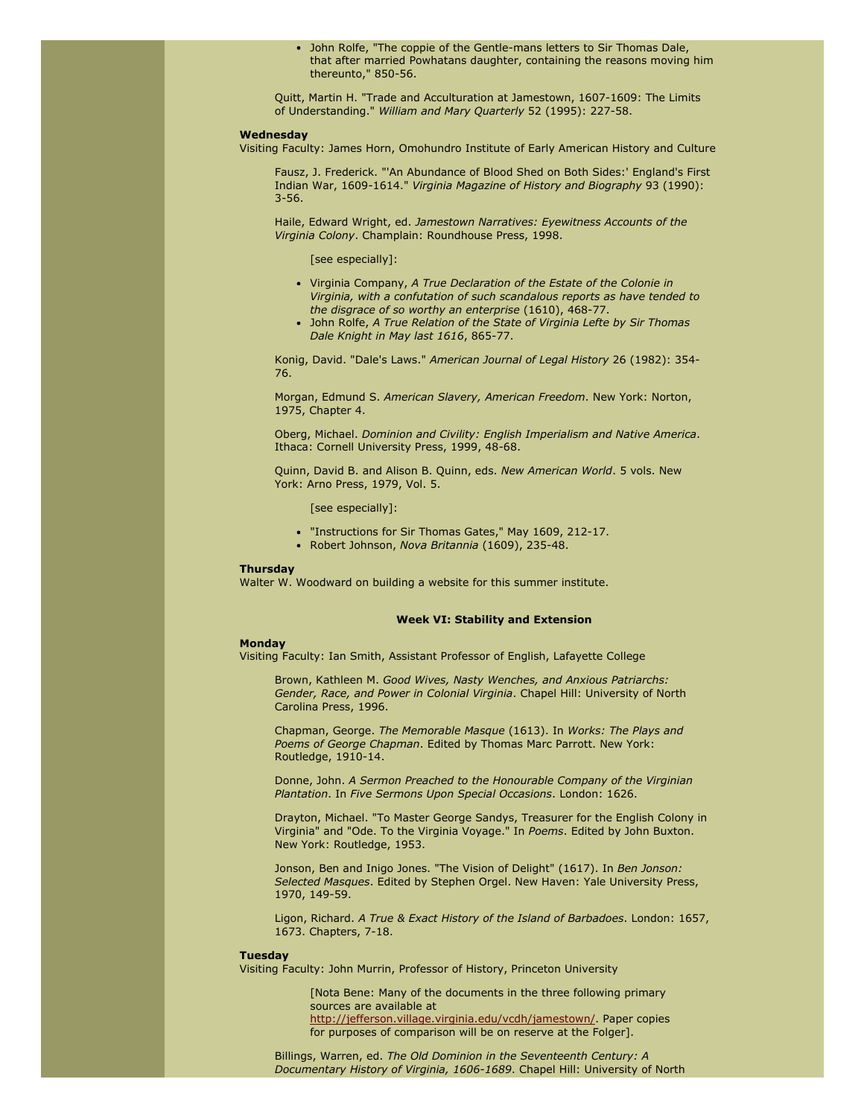John Rolfe, "The coppie of the Gentle-mans letters to Sir Thomas Dale, that after married Powhatans daughter, containing the reasons moving him thereunto," 850-56.

Quitt, Martin H. "Trade and Acculturation at Jamestown, 1607-1609: The Limits of Understanding." William and Mary Quarterly 52 (1995): 227-58.

## Wednesday

Visiting Faculty: James Horn, Omohundro Institute of Early American History and Culture

Fausz, J. Frederick. "'An Abundance of Blood Shed on Both Sides:' England's First Indian War, 1609-1614." Virginia Magazine of History and Biography 93 (1990): 3-56.

Haile, Edward Wright, ed. Jamestown Narratives: Eyewitness Accounts of the Virginia Colony. Champlain: Roundhouse Press, 1998.

### [see especially]:

- Virginia Company, A True Declaration of the Estate of the Colonie in Virginia, with a confutation of such scandalous reports as have tended to the disgrace of so worthy an enterprise (1610), 468-77.
- John Rolfe, A True Relation of the State of Virginia Lefte by Sir Thomas Dale Knight in May last 1616, 865-77.

Konig, David. "Dale's Laws." American Journal of Legal History 26 (1982): 354- 76.

Morgan, Edmund S. American Slavery, American Freedom. New York: Norton, 1975, Chapter 4.

Oberg, Michael. Dominion and Civility: English Imperialism and Native America. Ithaca: Cornell University Press, 1999, 48-68.

Quinn, David B. and Alison B. Quinn, eds. New American World. 5 vols. New York: Arno Press, 1979, Vol. 5.

[see especially]:

- "Instructions for Sir Thomas Gates," May 1609, 212-17.
- Robert Johnson, Nova Britannia (1609), 235-48.

## **Thursday**

Walter W. Woodward on building a website for this summer institute.

### Week VI: Stability and Extension

## Monday

Visiting Faculty: Ian Smith, Assistant Professor of English, Lafayette College

Brown, Kathleen M. Good Wives, Nasty Wenches, and Anxious Patriarchs: Gender, Race, and Power in Colonial Virginia. Chapel Hill: University of North Carolina Press, 1996.

Chapman, George. The Memorable Masque (1613). In Works: The Plays and Poems of George Chapman. Edited by Thomas Marc Parrott. New York: Routledge, 1910-14.

Donne, John. A Sermon Preached to the Honourable Company of the Virginian Plantation. In Five Sermons Upon Special Occasions. London: 1626.

Drayton, Michael. "To Master George Sandys, Treasurer for the English Colony in Virginia" and "Ode. To the Virginia Voyage." In Poems. Edited by John Buxton. New York: Routledge, 1953.

Jonson, Ben and Inigo Jones. "The Vision of Delight" (1617). In Ben Jonson: Selected Masques. Edited by Stephen Orgel. New Haven: Yale University Press, 1970, 149-59.

Ligon, Richard. A True & Exact History of the Island of Barbadoes. London: 1657, 1673. Chapters, 7-18.

### Tuesday

Visiting Faculty: John Murrin, Professor of History, Princeton University

[Nota Bene: Many of the documents in the three following primary sources are available at [http://jefferson.village.virginia.edu/vcdh/jamestown/](javascript:;). Paper copies for purposes of comparison will be on reserve at the Folger].

Billings, Warren, ed. The Old Dominion in the Seventeenth Century: A Documentary History of Virginia, 1606-1689. Chapel Hill: University of North